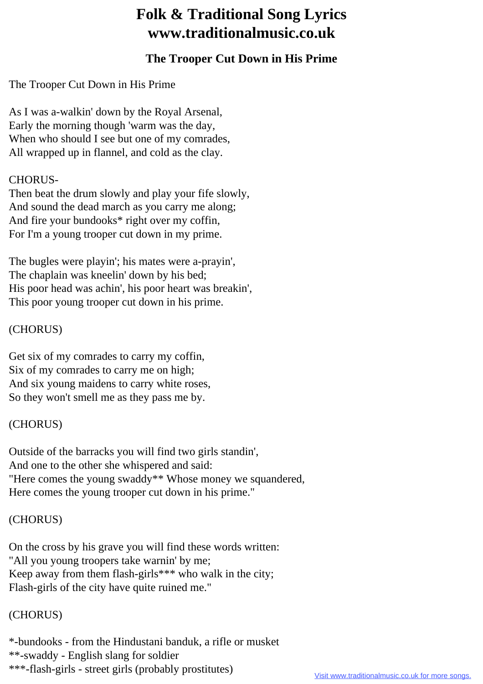# **Folk & Traditional Song Lyrics www.traditionalmusic.co.uk**

## **The Trooper Cut Down in His Prime**

The Trooper Cut Down in His Prime

As I was a-walkin' down by the Royal Arsenal, Early the morning though 'warm was the day, When who should I see but one of my comrades, All wrapped up in flannel, and cold as the clay.

#### CHORUS-

Then beat the drum slowly and play your fife slowly, And sound the dead march as you carry me along; And fire your bundooks\* right over my coffin, For I'm a young trooper cut down in my prime.

The bugles were playin'; his mates were a-prayin', The chaplain was kneelin' down by his bed; His poor head was achin', his poor heart was breakin', This poor young trooper cut down in his prime.

#### (CHORUS)

Get six of my comrades to carry my coffin, Six of my comrades to carry me on high; And six young maidens to carry white roses, So they won't smell me as they pass me by.

## (CHORUS)

Outside of the barracks you will find two girls standin', And one to the other she whispered and said: "Here comes the young swaddy\*\* Whose money we squandered, Here comes the young trooper cut down in his prime."

## (CHORUS)

On the cross by his grave you will find these words written: "All you young troopers take warnin' by me; Keep away from them flash-girls\*\*\* who walk in the city; Flash-girls of the city have quite ruined me."

#### (CHORUS)

\*-bundooks - from the Hindustani banduk, a rifle or musket \*\*-swaddy - English slang for soldier \*\*\*-flash-girls - street girls (probably prostitutes)